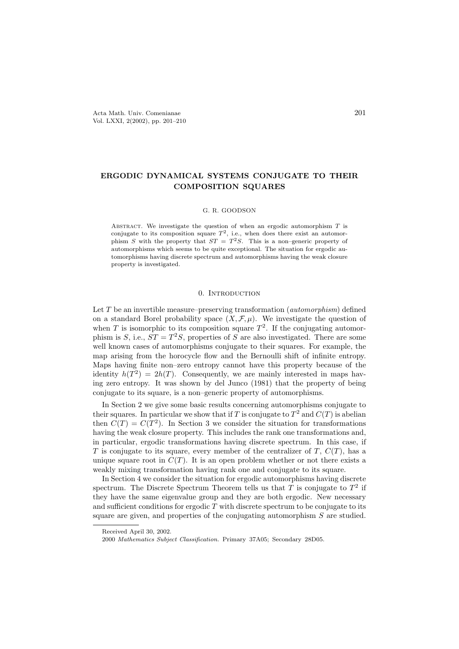# ERGODIC DYNAMICAL SYSTEMS CONJUGATE TO THEIR COMPOSITION SQUARES

#### G. R. GOODSON

ABSTRACT. We investigate the question of when an ergodic automorphism  $T$  is conjugate to its composition square  $T^2$ , i.e., when does there exist an automorphism S with the property that  $ST = T^2S$ . This is a non-generic property of automorphisms which seems to be quite exceptional. The situation for ergodic automorphisms having discrete spectrum and automorphisms having the weak closure property is investigated.

## 0. Introduction

Let T be an invertible measure–preserving transformation (*automorphism*) defined on a standard Borel probability space  $(X, \mathcal{F}, \mu)$ . We investigate the question of when T is isomorphic to its composition square  $T^2$ . If the conjugating automorphism is S, i.e.,  $ST = T^2S$ , properties of S are also investigated. There are some well known cases of automorphisms conjugate to their squares. For example, the map arising from the horocycle flow and the Bernoulli shift of infinite entropy. Maps having finite non–zero entropy cannot have this property because of the identity  $h(T^2) = 2h(T)$ . Consequently, we are mainly interested in maps having zero entropy. It was shown by del Junco (1981) that the property of being conjugate to its square, is a non–generic property of automorphisms.

In Section 2 we give some basic results concerning automorphisms conjugate to their squares. In particular we show that if T is conjugate to  $T^2$  and  $C(T)$  is abelian then  $C(T) = C(T^2)$ . In Section 3 we consider the situation for transformations having the weak closure property. This includes the rank one transformations and, in particular, ergodic transformations having discrete spectrum. In this case, if T is conjugate to its square, every member of the centralizer of T,  $C(T)$ , has a unique square root in  $C(T)$ . It is an open problem whether or not there exists a weakly mixing transformation having rank one and conjugate to its square.

In Section 4 we consider the situation for ergodic automorphisms having discrete spectrum. The Discrete Spectrum Theorem tells us that T is conjugate to  $T^2$  if they have the same eigenvalue group and they are both ergodic. New necessary and sufficient conditions for ergodic  $T$  with discrete spectrum to be conjugate to its square are given, and properties of the conjugating automorphism S are studied.

Received April 30, 2002.

<sup>2000</sup> Mathematics Subject Classification. Primary 37A05; Secondary 28D05.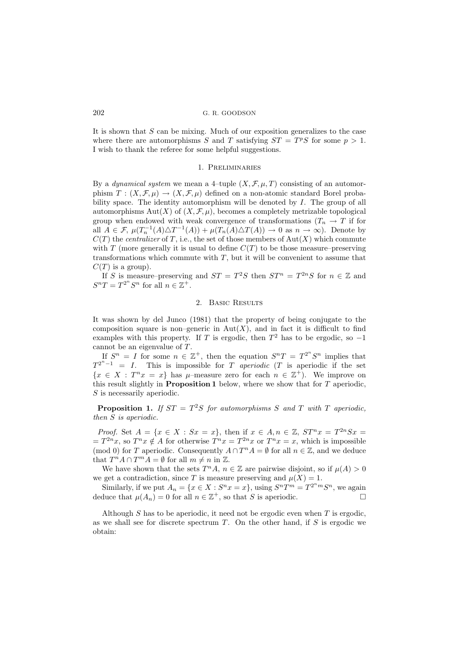It is shown that S can be mixing. Much of our exposition generalizes to the case where there are automorphisms S and T satisfying  $ST = T<sup>p</sup>S$  for some  $p > 1$ . I wish to thank the referee for some helpful suggestions.

#### 1. Preliminaries

By a *dynamical system* we mean a 4-tuple  $(X, \mathcal{F}, \mu, T)$  consisting of an automorphism  $T : (X, \mathcal{F}, \mu) \to (X, \mathcal{F}, \mu)$  defined on a non-atomic standard Borel probability space. The identity automorphism will be denoted by  $I$ . The group of all automorphisms  $Aut(X)$  of  $(X, \mathcal{F}, \mu)$ , becomes a completely metrizable topological group when endowed with weak convergence of transformations  $(T_n \to T$  if for all  $A \in \mathcal{F}$ ,  $\mu(T_n^{-1}(A) \triangle T^{-1}(A)) + \mu(T_n(A) \triangle T(A)) \to 0$  as  $n \to \infty$ ). Denote by  $C(T)$  the *centralizer* of T, i.e., the set of those members of Aut(X) which commute with  $T$  (more generally it is usual to define  $C(T)$  to be those measure–preserving transformations which commute with  $T$ , but it will be convenient to assume that  $C(T)$  is a group).

If S is measure–preserving and  $ST = T^2S$  then  $ST^n = T^{2n}S$  for  $n \in \mathbb{Z}$  and  $S^nT = T^{2^n}S^n$  for all  $n \in \mathbb{Z}^+$ .

#### 2. Basic Results

It was shown by del Junco (1981) that the property of being conjugate to the composition square is non–generic in  $Aut(X)$ , and in fact it is difficult to find examples with this property. If T is ergodic, then  $T^2$  has to be ergodic, so  $-1$ cannot be an eigenvalue of T.

If  $S^n = I$  for some  $n \in \mathbb{Z}^+$ , then the equation  $S^nT = T^{2^n}S^n$  implies that  $T^{2^{n}-1} = I$ . This is impossible for T aperiodic (T is aperiodic if the set  $\{x \in X : T^n x = x\}$  has  $\mu$ -measure zero for each  $n \in \mathbb{Z}^+$ ). We improve on this result slightly in **Proposition 1** below, where we show that for  $T$  aperiodic, S is necessarily aperiodic.

**Proposition 1.** If  $ST = T^2S$  for automorphisms S and T with T aperiodic, then S is aperiodic.

*Proof.* Set  $A = \{x \in X : Sx = x\}$ , then if  $x \in A, n \in \mathbb{Z}$ ,  $ST^n x = T^{2n} Sx = T^{n} S$  $T^{2n}x$ , so  $T^n x \notin A$  for otherwise  $T^n x = T^{2n}x$  or  $T^n x = x$ , which is impossible (mod 0) for T aperiodic. Consequently  $A \cap T^n A = \emptyset$  for all  $n \in \mathbb{Z}$ , and we deduce that  $T^n A \cap T^m A = \emptyset$  for all  $m \neq n$  in  $\mathbb{Z}$ .

We have shown that the sets  $T^n A$ ,  $n \in \mathbb{Z}$  are pairwise disjoint, so if  $\mu(A) > 0$ we get a contradiction, since T is measure preserving and  $\mu(X) = 1$ .

Similarly, if we put  $A_n = \{x \in X : S^n x = x\}$ , using  $S^n T^m = T^{2^n m} S^n$ , we again deduce that  $\mu(A_n) = 0$  for all  $n \in \mathbb{Z}^+$ , so that S is aperiodic.

Although  $S$  has to be aperiodic, it need not be ergodic even when  $T$  is ergodic. as we shall see for discrete spectrum  $T$ . On the other hand, if  $S$  is ergodic we obtain: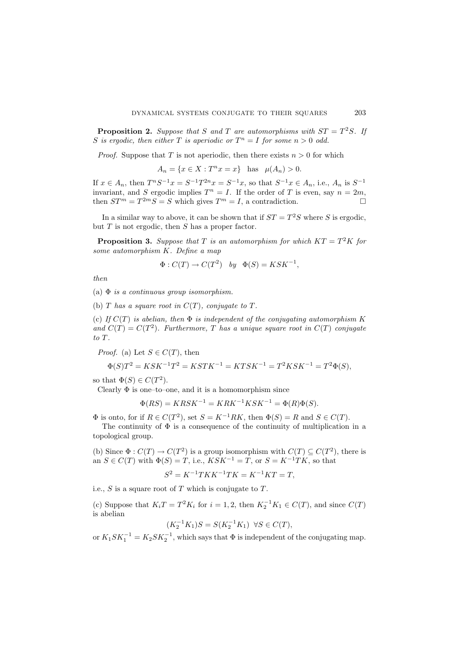**Proposition 2.** Suppose that S and T are automorphisms with  $ST = T^2S$ . If S is ergodic, then either T is aperiodic or  $T^n = I$  for some  $n > 0$  odd.

*Proof.* Suppose that T is not aperiodic, then there exists  $n > 0$  for which

 $A_n = \{x \in X : T^n x = x\}$  has  $\mu(A_n) > 0$ .

If  $x \in A_n$ , then  $T^nS^{-1}x = S^{-1}T^{2n}x = S^{-1}x$ , so that  $S^{-1}x \in A_n$ , i.e.,  $A_n$  is  $S^{-1}$ invariant, and S ergodic implies  $T^n = I$ . If the order of T is even, say  $n = 2m$ , then  $ST^m = T^{2m}S = S$  which gives  $T^m = I$ , a contradiction.

In a similar way to above, it can be shown that if  $ST = T^2S$  where S is ergodic, but  $T$  is not ergodic, then  $S$  has a proper factor.

**Proposition 3.** Suppose that T is an automorphism for which  $KT = T^2K$  for some automorphism K. Define a map

$$
\Phi: C(T) \to C(T^2) \quad by \quad \Phi(S) = KSK^{-1},
$$

then

(a)  $\Phi$  is a continuous group isomorphism.

(b) T has a square root in  $C(T)$ , conjugate to T.

(c) If  $C(T)$  is abelian, then  $\Phi$  is independent of the conjugating automorphism K and  $C(T) = C(T^2)$ . Furthermore, T has a unique square root in  $C(T)$  conjugate to T.

*Proof.* (a) Let  $S \in C(T)$ , then

$$
\Phi(S)T^2 = KSK^{-1}T^2 = KSTK^{-1} = KTSK^{-1} = T^2KSK^{-1} = T^2\Phi(S),
$$

so that  $\Phi(S) \in C(T^2)$ .

Clearly  $\Phi$  is one–to–one, and it is a homomorphism since

$$
\Phi(RS) = KRSK^{-1} = KRK^{-1}KSK^{-1} = \Phi(R)\Phi(S).
$$

 $\Phi$  is onto, for if  $R \in C(T^2)$ , set  $S = K^{-1}RK$ , then  $\Phi(S) = R$  and  $S \in C(T)$ .

The continuity of  $\Phi$  is a consequence of the continuity of multiplication in a topological group.

(b) Since  $\Phi: C(T) \to C(T^2)$  is a group isomorphism with  $C(T) \subseteq C(T^2)$ , there is an  $S \in C(T)$  with  $\Phi(S) = T$ , i.e.,  $KSK^{-1} = T$ , or  $S = K^{-1}TK$ , so that

$$
S^2 = K^{-1}TKK^{-1}TK = K^{-1}KT = T,
$$

i.e.,  $S$  is a square root of  $T$  which is conjugate to  $T$ .

(c) Suppose that  $K_iT = T^2K_i$  for  $i = 1, 2$ , then  $K_2^{-1}K_1 \in C(T)$ , and since  $C(T)$ is abelian

$$
(K_2^{-1}K_1)S=S(K_2^{-1}K_1)\;\;\forall S\in C(T),
$$

or  $K_1 S K_1^{-1} = K_2 S K_2^{-1}$ , which says that  $\Phi$  is independent of the conjugating map.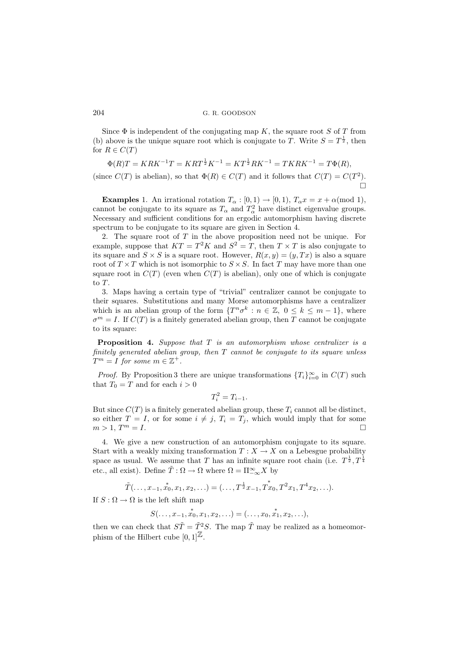Since  $\Phi$  is independent of the conjugating map K, the square root S of T from (b) above is the unique square root which is conjugate to T. Write  $S = T^{\frac{1}{2}}$ , then for  $R \in C(T)$ 

$$
\Phi(R)T = KRK^{-1}T = KRT^{\frac{1}{2}}K^{-1} = KT^{\frac{1}{2}}RK^{-1} = TKRK^{-1} = T\Phi(R),
$$

(since  $C(T)$  is abelian), so that  $\Phi(R) \in C(T)$  and it follows that  $C(T) = C(T^2)$ . 'n

**Examples** 1. An irrational rotation  $T_{\alpha} : [0,1) \rightarrow [0,1), T_{\alpha} x = x + \alpha \pmod{1}$ , cannot be conjugate to its square as  $T_{\alpha}$  and  $T_{\alpha}^2$  have distinct eigenvalue groups. Necessary and sufficient conditions for an ergodic automorphism having discrete spectrum to be conjugate to its square are given in Section 4.

2. The square root of  $T$  in the above proposition need not be unique. For example, suppose that  $KT = T^2K$  and  $S^2 = T$ , then  $T \times T$  is also conjugate to its square and  $S \times S$  is a square root. However,  $R(x, y) = (y, Tx)$  is also a square root of  $T \times T$  which is not isomorphic to  $S \times S$ . In fact T may have more than one square root in  $C(T)$  (even when  $C(T)$  is abelian), only one of which is conjugate to T.

3. Maps having a certain type of "trivial" centralizer cannot be conjugate to their squares. Substitutions and many Morse automorphisms have a centralizer which is an abelian group of the form  $\{T^n\sigma^k : n \in \mathbb{Z}, 0 \leq k \leq m-1\}$ , where  $\sigma^{m} = I$ . If  $C(T)$  is a finitely generated abelian group, then T cannot be conjugate to its square:

**Proposition 4.** Suppose that  $T$  is an automorphism whose centralizer is a finitely generated abelian group, then  $T$  cannot be conjugate to its square unless  $T^m = I$  for some  $m \in \mathbb{Z}^+$ .

*Proof.* By Proposition 3 there are unique transformations  $\{T_i\}_{i=0}^{\infty}$  in  $C(T)$  such that  $T_0 = T$  and for each  $i > 0$ 

$$
T_i^2 = T_{i-1}.
$$

But since  $C(T)$  is a finitely generated abelian group, these  $T_i$  cannot all be distinct, so either  $T = I$ , or for some  $i \neq j$ ,  $T_i = T_i$ , which would imply that for some  $m > 1, T^m = I.$  $m = I$ .

4. We give a new construction of an automorphism conjugate to its square. Start with a weakly mixing transformation  $T : X \to X$  on a Lebesgue probability space as usual. We assume that T has an infinite square root chain (i.e.  $T^{\frac{1}{2}}, T^{\frac{1}{4}}$ etc., all exist). Define  $\tilde{T} : \Omega \to \Omega$  where  $\Omega = \Pi_{-\infty}^{\infty} X$  by

$$
\tilde{T}(\ldots, x_{-1}, x_0, x_1, x_2, \ldots) = (\ldots, T^{\frac{1}{2}} x_{-1}, T^* x_0, T^2 x_1, T^4 x_2, \ldots).
$$

If  $S : \Omega \to \Omega$  is the left shift map

$$
S(\ldots, x_{-1}, x_0, x_1, x_2, \ldots) = (\ldots, x_0, x_1, x_2, \ldots),
$$

then we can check that  $S\tilde{T} = \tilde{T}^2 S$ . The map  $\tilde{T}$  may be realized as a homeomorphism of the Hilbert cube  $[0, 1]^{\mathbb{Z}}$ .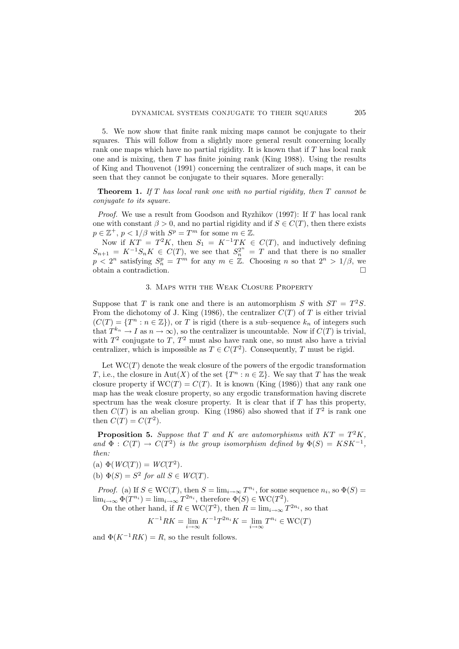5. We now show that finite rank mixing maps cannot be conjugate to their squares. This will follow from a slightly more general result concerning locally rank one maps which have no partial rigidity. It is known that if  $T$  has local rank one and is mixing, then  $T$  has finite joining rank (King 1988). Using the results of King and Thouvenot (1991) concerning the centralizer of such maps, it can be seen that they cannot be conjugate to their squares. More generally:

**Theorem 1.** If T has local rank one with no partial rigidity, then  $T$  cannot be conjugate to its square.

*Proof.* We use a result from Goodson and Ryzhikov (1997): If  $T$  has local rank one with constant  $\beta > 0$ , and no partial rigidity and if  $S \in C(T)$ , then there exists  $p \in \mathbb{Z}^+, p < 1/\beta$  with  $S^p = T^m$  for some  $m \in \mathbb{Z}$ .

Now if  $KT = T^2K$ , then  $S_1 = K^{-1}TK \in C(T)$ , and inductively defining  $S_{n+1} = K^{-1}S_nK \in C(T)$ , we see that  $S_n^{2^n} = T$  and that there is no smaller  $p < 2^n$  satisfying  $S_n^p = T^m$  for any  $m \in \mathbb{Z}$ . Choosing n so that  $2^n > 1/\beta$ , we obtain a contradiction.

#### 3. Maps with the Weak Closure Property

Suppose that T is rank one and there is an automorphism S with  $ST = T^2S$ . From the dichotomy of J. King (1986), the centralizer  $C(T)$  of T is either trivial  $(C(T) = \{T^n : n \in \mathbb{Z}\}),$  or T is rigid (there is a sub-sequence  $k_n$  of integers such that  $T^{k_n} \to I$  as  $n \to \infty$ ), so the centralizer is uncountable. Now if  $C(T)$  is trivial, with  $T^2$  conjugate to T,  $T^2$  must also have rank one, so must also have a trivial centralizer, which is impossible as  $T \in C(T^2)$ . Consequently, T must be rigid.

Let  $WC(T)$  denote the weak closure of the powers of the ergodic transformation T, i.e., the closure in Aut(X) of the set  $\{T^n : n \in \mathbb{Z}\}$ . We say that T has the weak closure property if  $WC(T) = C(T)$ . It is known (King (1986)) that any rank one map has the weak closure property, so any ergodic transformation having discrete spectrum has the weak closure property. It is clear that if  $T$  has this property, then  $C(T)$  is an abelian group. King (1986) also showed that if  $T<sup>2</sup>$  is rank one then  $C(T) = C(T^2)$ .

**Proposition 5.** Suppose that T and K are automorphisms with  $KT = T^2K$ , and  $\Phi: C(T) \to C(T^2)$  is the group isomorphism defined by  $\Phi(S) = K S K^{-1}$ , then:

- (a)  $\Phi(WC(T)) = WC(T^2)$ .
- (b)  $\Phi(S) = S^2$  for all  $S \in WC(T)$ .

*Proof.* (a) If  $S \in \text{WC}(T)$ , then  $S = \lim_{i \to \infty} T^{n_i}$ , for some sequence  $n_i$ , so  $\Phi(S) =$  $\lim_{i \to \infty} \Phi(T^{n_i}) = \lim_{i \to \infty} T^{2n_i}$ , therefore  $\Phi(S) \in \text{WC}(T^2)$ .

On the other hand, if  $R \in \text{WC}(T^2)$ , then  $R = \lim_{i \to \infty} T^{2n_i}$ , so that

 $K^{-1}RK = \lim_{i \to \infty} K^{-1}T^{2n_i}K = \lim_{i \to \infty} T^{n_i} \in \text{WC}(T)$ 

and  $\Phi(K^{-1}RK) = R$ , so the result follows.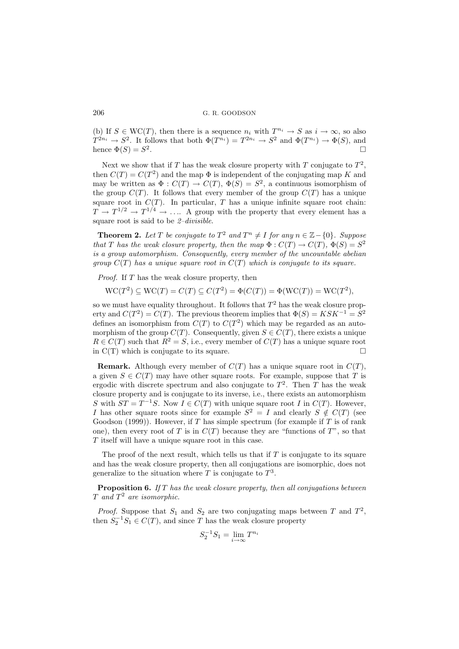(b) If  $S \in \text{WC}(T)$ , then there is a sequence  $n_i$  with  $T^{n_i} \to S$  as  $i \to \infty$ , so also  $T^{2n_i} \to S^2$ . It follows that both  $\Phi(T^{n_i}) = T^{2n_i} \to S^2$  and  $\Phi(T^{n_i}) \to \Phi(S)$ , and hence  $\Phi(S) = S^2$ .

Next we show that if T has the weak closure property with T conjugate to  $T^2$ , then  $C(T) = C(T^2)$  and the map  $\Phi$  is independent of the conjugating map K and may be written as  $\Phi: C(T) \to C(T)$ ,  $\Phi(S) = S^2$ , a continuous isomorphism of the group  $C(T)$ . It follows that every member of the group  $C(T)$  has a unique square root in  $C(T)$ . In particular, T has a unique infinite square root chain:  $T \to T^{1/2} \to T^{1/4} \to \ldots$  A group with the property that every element has a square root is said to be 2–divisible.

**Theorem 2.** Let T be conjugate to  $T^2$  and  $T^n \neq I$  for any  $n \in \mathbb{Z} - \{0\}$ . Suppose that T has the weak closure property, then the map  $\Phi: C(T) \to C(T)$ ,  $\Phi(S) = S^2$ is a group automorphism. Consequently, every member of the uncountable abelian group  $C(T)$  has a unique square root in  $C(T)$  which is conjugate to its square.

Proof. If T has the weak closure property, then

 $WC(T^2) \subseteq WC(T) = C(T) \subseteq C(T^2) = \Phi(C(T)) = \Phi(WC(T)) = WC(T^2),$ 

so we must have equality throughout. It follows that  $T^2$  has the weak closure property and  $C(T^2) = C(T)$ . The previous theorem implies that  $\Phi(S) = K S K^{-1} = S^2$ defines an isomorphism from  $C(T)$  to  $C(T^2)$  which may be regarded as an automorphism of the group  $C(T)$ . Consequently, given  $S \in C(T)$ , there exists a unique  $R \in C(T)$  such that  $R^2 = S$ , i.e., every member of  $C(T)$  has a unique square root in  $C(T)$  which is conjugate to its square.

**Remark.** Although every member of  $C(T)$  has a unique square root in  $C(T)$ , a given  $S \in C(T)$  may have other square roots. For example, suppose that T is ergodic with discrete spectrum and also conjugate to  $T^2$ . Then T has the weak closure property and is conjugate to its inverse, i.e., there exists an automorphism S with  $ST = T^{-1}S$ . Now  $I \in C(T)$  with unique square root I in  $C(T)$ . However, I has other square roots since for example  $S^2 = I$  and clearly  $S \notin C(T)$  (see Goodson (1999)). However, if T has simple spectrum (for example if T is of rank one), then every root of T is in  $C(T)$  because they are "functions of T", so that T itself will have a unique square root in this case.

The proof of the next result, which tells us that if  $T$  is conjugate to its square and has the weak closure property, then all conjugations are isomorphic, does not generalize to the situation where T is conjugate to  $T^3$ .

**Proposition 6.** If T has the weak closure property, then all conjugations between  $T$  and  $T^2$  are isomorphic.

*Proof.* Suppose that  $S_1$  and  $S_2$  are two conjugating maps between T and  $T^2$ , then  $S_2^{-1}S_1 \in C(T)$ , and since T has the weak closure property

$$
S_2^{-1}S_1 = \lim_{i \to \infty} T^{n_i}
$$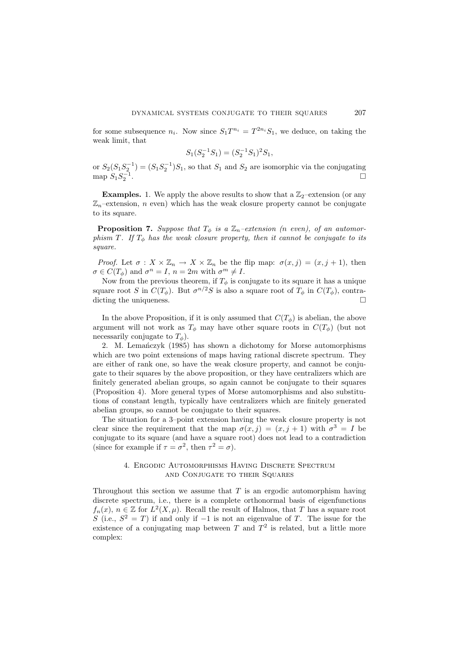for some subsequence  $n_i$ . Now since  $S_1 T^{n_i} = T^{2n_i} S_1$ , we deduce, on taking the weak limit, that

$$
S_1(S_2^{-1}S_1) = (S_2^{-1}S_1)^2S_1,
$$

or  $S_2(S_1S_2^{-1}) = (S_1S_2^{-1})S_1$ , so that  $S_1$  and  $S_2$  are isomorphic via the conjugating map  $S_1 S_2^{-1}$ .

**Examples.** 1. We apply the above results to show that a  $\mathbb{Z}_2$ -extension (or any  $\mathbb{Z}_n$ –extension, *n* even) which has the weak closure property cannot be conjugate to its square.

**Proposition 7.** Suppose that  $T_{\phi}$  is a  $\mathbb{Z}_n$ -extension (n even), of an automorphism T. If  $T_{\phi}$  has the weak closure property, then it cannot be conjugate to its square.

*Proof.* Let  $\sigma: X \times \mathbb{Z}_n \to X \times \mathbb{Z}_n$  be the flip map:  $\sigma(x, j) = (x, j + 1)$ , then  $\sigma \in C(T_{\phi})$  and  $\sigma^{n} = I$ ,  $n = 2m$  with  $\sigma^{m} \neq I$ .

Now from the previous theorem, if  $T_{\phi}$  is conjugate to its square it has a unique square root S in  $C(T_{\phi})$ . But  $\sigma^{n/2}S$  is also a square root of  $T_{\phi}$  in  $C(T_{\phi})$ , contradicting the uniqueness.

In the above Proposition, if it is only assumed that  $C(T_{\phi})$  is abelian, the above argument will not work as  $T_{\phi}$  may have other square roots in  $C(T_{\phi})$  (but not necessarily conjugate to  $T_{\phi}$ ).

2. M. Lemanczyk  $(1985)$  has shown a dichotomy for Morse automorphisms which are two point extensions of maps having rational discrete spectrum. They are either of rank one, so have the weak closure property, and cannot be conjugate to their squares by the above proposition, or they have centralizers which are finitely generated abelian groups, so again cannot be conjugate to their squares (Proposition 4). More general types of Morse automorphisms and also substitutions of constant length, typically have centralizers which are finitely generated abelian groups, so cannot be conjugate to their squares.

The situation for a 3–point extension having the weak closure property is not clear since the requirement that the map  $\sigma(x, j) = (x, j + 1)$  with  $\sigma^3 = I$  be conjugate to its square (and have a square root) does not lead to a contradiction (since for example if  $\tau = \sigma^2$ , then  $\tau^2 = \sigma$ ).

# 4. Ergodic Automorphisms Having Discrete Spectrum and Conjugate to their Squares

Throughout this section we assume that  $T$  is an ergodic automorphism having discrete spectrum, i.e., there is a complete orthonormal basis of eigenfunctions  $f_n(x)$ ,  $n \in \mathbb{Z}$  for  $L^2(X, \mu)$ . Recall the result of Halmos, that T has a square root S (i.e.,  $S^2 = T$ ) if and only if  $-1$  is not an eigenvalue of T. The issue for the existence of a conjugating map between T and  $T^2$  is related, but a little more complex: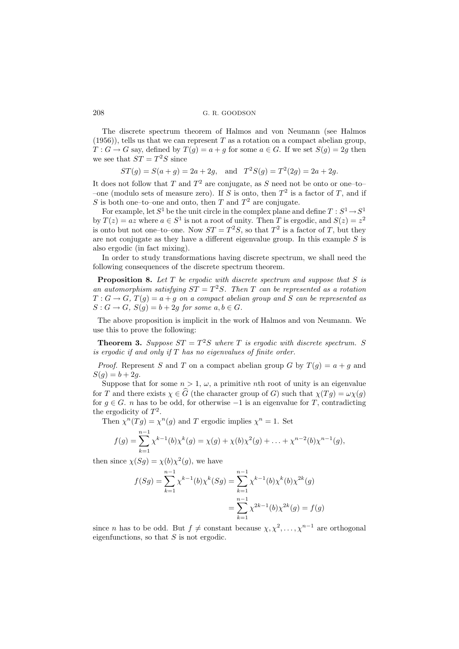The discrete spectrum theorem of Halmos and von Neumann (see Halmos  $(1956)$ , tells us that we can represent T as a rotation on a compact abelian group,  $T: G \to G$  say, defined by  $T(g) = a + g$  for some  $a \in G$ . If we set  $S(g) = 2g$  then we see that  $ST = T^2S$  since

 $ST(g) = S(a + g) = 2a + 2g$ , and  $T^2S(g) = T^2(2g) = 2a + 2g$ .

It does not follow that T and  $T^2$  are conjugate, as S need not be onto or one-to-–one (modulo sets of measure zero). If S is onto, then  $T^2$  is a factor of T, and if S is both one–to–one and onto, then T and  $T^2$  are conjugate.

For example, let  $S^1$  be the unit circle in the complex plane and define  $T : S^1 \to S^1$ by  $T(z) = az$  where  $a \in S^1$  is not a root of unity. Then T is ergodic, and  $S(z) = z^2$ is onto but not one-to-one. Now  $ST = T^2S$ , so that  $T^2$  is a factor of T, but they are not conjugate as they have a different eigenvalue group. In this example  $S$  is also ergodic (in fact mixing).

In order to study transformations having discrete spectrum, we shall need the following consequences of the discrete spectrum theorem.

**Proposition 8.** Let  $T$  be ergodic with discrete spectrum and suppose that  $S$  is an automorphism satisfying  $ST = T^2S$ . Then T can be represented as a rotation  $T: G \to G$ ,  $T(g) = a + g$  on a compact abelian group and S can be represented as  $S: G \to G$ ,  $S(g) = b + 2g$  for some  $a, b \in G$ .

The above proposition is implicit in the work of Halmos and von Neumann. We use this to prove the following:

**Theorem 3.** Suppose  $ST = T^2S$  where T is ergodic with discrete spectrum. S is ergodic if and only if  $T$  has no eigenvalues of finite order.

*Proof.* Represent S and T on a compact abelian group G by  $T(q) = a + q$  and  $S(q) = b + 2q$ .

Suppose that for some  $n > 1$ ,  $\omega$ , a primitive *n*th root of unity is an eigenvalue for T and there exists  $\chi \in \widehat{G}$  (the character group of G) such that  $\chi(T q) = \omega \chi(q)$ for  $g \in G$ . *n* has to be odd, for otherwise  $-1$  is an eigenvalue for T, contradicting the ergodicity of  $T^2$ .

Then  $\chi^{n}(Tg) = \chi^{n}(g)$  and T ergodic implies  $\chi^{n} = 1$ . Set

$$
f(g) = \sum_{k=1}^{n-1} \chi^{k-1}(b) \chi^{k}(g) = \chi(g) + \chi(b) \chi^{2}(g) + \ldots + \chi^{n-2}(b) \chi^{n-1}(g),
$$

then since  $\chi(Sg) = \chi(b)\chi^2(g)$ , we have

$$
f(Sg) = \sum_{k=1}^{n-1} \chi^{k-1}(b)\chi^k(Sg) = \sum_{k=1}^{n-1} \chi^{k-1}(b)\chi^k(b)\chi^{2k}(g)
$$

$$
= \sum_{k=1}^{n-1} \chi^{2k-1}(b)\chi^{2k}(g) = f(g)
$$

since *n* has to be odd. But  $f \neq$  constant because  $\chi, \chi^2, \ldots, \chi^{n-1}$  are orthogonal eigenfunctions, so that  $S$  is not ergodic.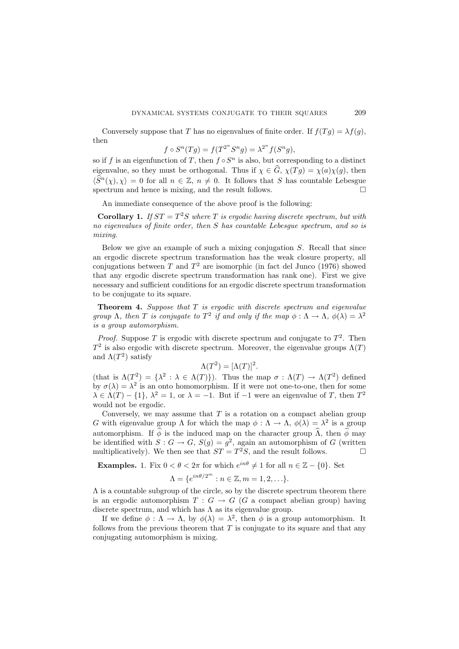Conversely suppose that T has no eigenvalues of finite order. If  $f(Tq) = \lambda f(q)$ , then

$$
f \circ S^n(Tg) = f(T^{2^n}S^n g) = \lambda^{2^n} f(S^n g),
$$

so if f is an eigenfunction of T, then  $f \circ S^n$  is also, but corresponding to a distinct eigenvalue, so they must be orthogonal. Thus if  $\chi \in \hat{G}$ ,  $\chi(Tg) = \chi(a)\chi(g)$ , then  $\langle \hat{S}^n(\chi), \chi \rangle = 0$  for all  $n \in \mathbb{Z}$ ,  $n \neq 0$ . It follows that S has countable Lebesgue spectrum and hence is mixing, and the result follows. spectrum and hence is mixing, and the result follows.

An immediate consequence of the above proof is the following:

**Corollary 1.** If  $ST = T^2S$  where T is ergodic having discrete spectrum, but with no eigenvalues of finite order, then S has countable Lebesgue spectrum, and so is mixing.

Below we give an example of such a mixing conjugation  $S$ . Recall that since an ergodic discrete spectrum transformation has the weak closure property, all conjugations between T and  $T^2$  are isomorphic (in fact del Junco (1976) showed that any ergodic discrete spectrum transformation has rank one). First we give necessary and sufficient conditions for an ergodic discrete spectrum transformation to be conjugate to its square.

**Theorem 4.** Suppose that  $T$  is ergodic with discrete spectrum and eigenvalue group  $\Lambda$ , then T is conjugate to  $T^2$  if and only if the map  $\phi : \Lambda \to \Lambda$ ,  $\phi(\lambda) = \lambda^2$ is a group automorphism.

*Proof.* Suppose T is ergodic with discrete spectrum and conjugate to  $T^2$ . Then  $T^2$  is also ergodic with discrete spectrum. Moreover, the eigenvalue groups  $\Lambda(T)$ and  $\Lambda(T^2)$  satisfy

$$
\Lambda(T^2) = [\Lambda(T)]^2.
$$

(that is  $\Lambda(T^2) = {\lambda^2 : \lambda \in \Lambda(T)}$ ). Thus the map  $\sigma : \Lambda(T) \to \Lambda(T^2)$  defined by  $\sigma(\lambda) = \lambda^2$  is an onto homomorphism. If it were not one-to-one, then for some  $\lambda \in \Lambda(T) - \{1\}, \lambda^2 = 1$ , or  $\lambda = -1$ . But if  $-1$  were an eigenvalue of T, then  $T^2$ would not be ergodic.

Conversely, we may assume that  $T$  is a rotation on a compact abelian group G with eigenvalue group  $\Lambda$  for which the map  $\phi : \Lambda \to \Lambda$ ,  $\phi(\lambda) = \lambda^2$  is a group automorphism. If  $\phi$  is the induced map on the character group  $\hat{\Lambda}$ , then  $\hat{\phi}$  may be identified with  $S: G \to G$ ,  $S(g) = g^2$ , again an automorphism of G (written multiplicatively). We then see that  $ST = T^2S$ , and the result follows.

**Examples.** 1. Fix  $0 < \theta < 2\pi$  for which  $e^{in\theta} \neq 1$  for all  $n \in \mathbb{Z} - \{0\}$ . Set

$$
\Lambda = \{e^{in\theta/2^m} : n \in \mathbb{Z}, m = 1, 2, \ldots\}.
$$

 $\Lambda$  is a countable subgroup of the circle, so by the discrete spectrum theorem there is an ergodic automorphism  $T : G \to G$  (G a compact abelian group) having discrete spectrum, and which has  $\Lambda$  as its eigenvalue group.

If we define  $\phi : \Lambda \to \Lambda$ , by  $\phi(\lambda) = \lambda^2$ , then  $\phi$  is a group automorphism. It follows from the previous theorem that  $T$  is conjugate to its square and that any conjugating automorphism is mixing.